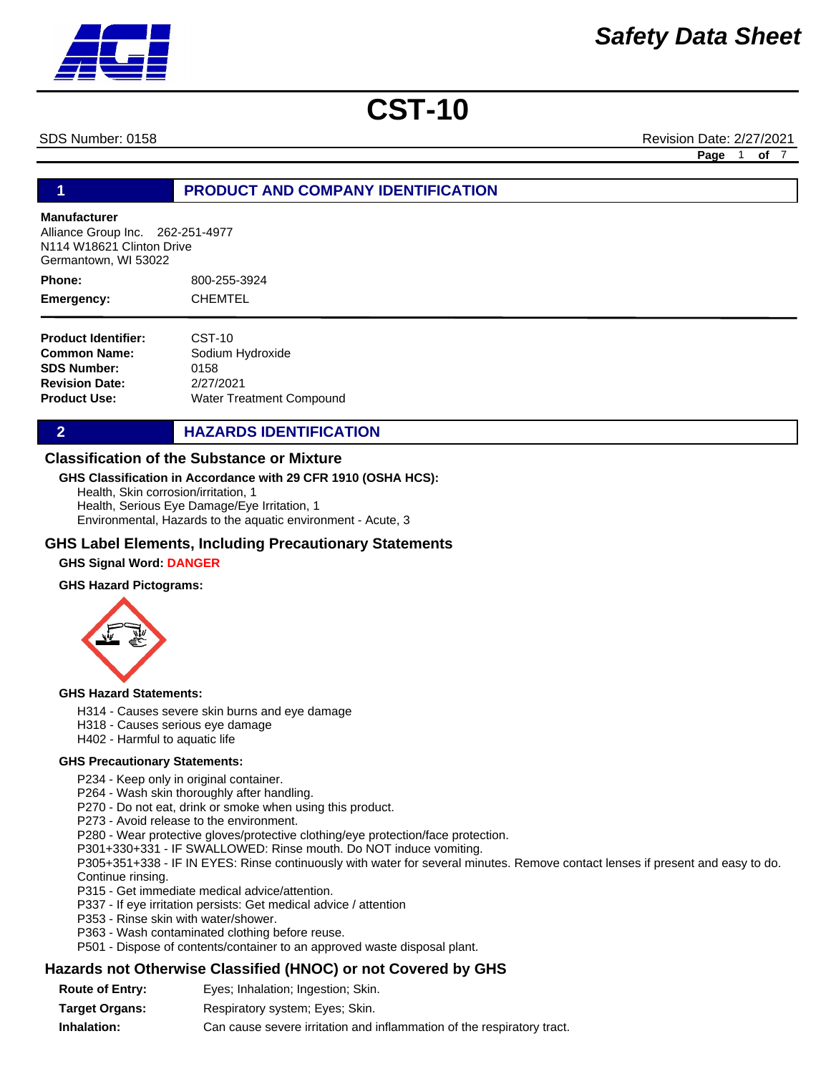SDS Number: 0158 Revision Date: 2/27/2021

**Page** 1 **of** 7

# **1 PRODUCT AND COMPANY IDENTIFICATION**

# **Manufacturer**

Alliance Group Inc. 262-251-4977 N114 W18621 Clinton Drive Germantown, WI 53022

800-255-3924 CHEMTEL **Phone: Emergency:**

| <b>Product Identifier:</b> | CST-10                   |
|----------------------------|--------------------------|
| Common Name:               | Sodium Hydroxide         |
| <b>SDS Number:</b>         | 0158                     |
| <b>Revision Date:</b>      | 2/27/2021                |
| Product Use:               | Water Treatment Compound |

**2 HAZARDS IDENTIFICATION** 

# **Classification of the Substance or Mixture**

### **GHS Classification in Accordance with 29 CFR 1910 (OSHA HCS):**

Health, Skin corrosion/irritation, 1 Health, Serious Eye Damage/Eye Irritation, 1 Environmental, Hazards to the aquatic environment - Acute, 3

# **GHS Label Elements, Including Precautionary Statements**

# **GHS Signal Word: DANGER**

### **GHS Hazard Pictograms:**



### **GHS Hazard Statements:**

- H314 Causes severe skin burns and eye damage
- H318 Causes serious eye damage
- H402 Harmful to aquatic life

### **GHS Precautionary Statements:**

P234 - Keep only in original container.

P264 - Wash skin thoroughly after handling.

- P270 Do not eat, drink or smoke when using this product.
- P273 Avoid release to the environment.

P280 - Wear protective gloves/protective clothing/eye protection/face protection.

P301+330+331 - IF SWALLOWED: Rinse mouth. Do NOT induce vomiting.

P305+351+338 - IF IN EYES: Rinse continuously with water for several minutes. Remove contact lenses if present and easy to do. Continue rinsing.

- P315 Get immediate medical advice/attention.
- P337 If eye irritation persists: Get medical advice / attention
- P353 Rinse skin with water/shower.
- P363 Wash contaminated clothing before reuse.
- P501 Dispose of contents/container to an approved waste disposal plant.

# **Hazards not Otherwise Classified (HNOC) or not Covered by GHS**

**Route of Entry: Target Organs: Inhalation:** Respiratory system; Eyes; Skin. Can cause severe irritation and inflammation of the respiratory tract. Eyes; Inhalation; Ingestion; Skin.

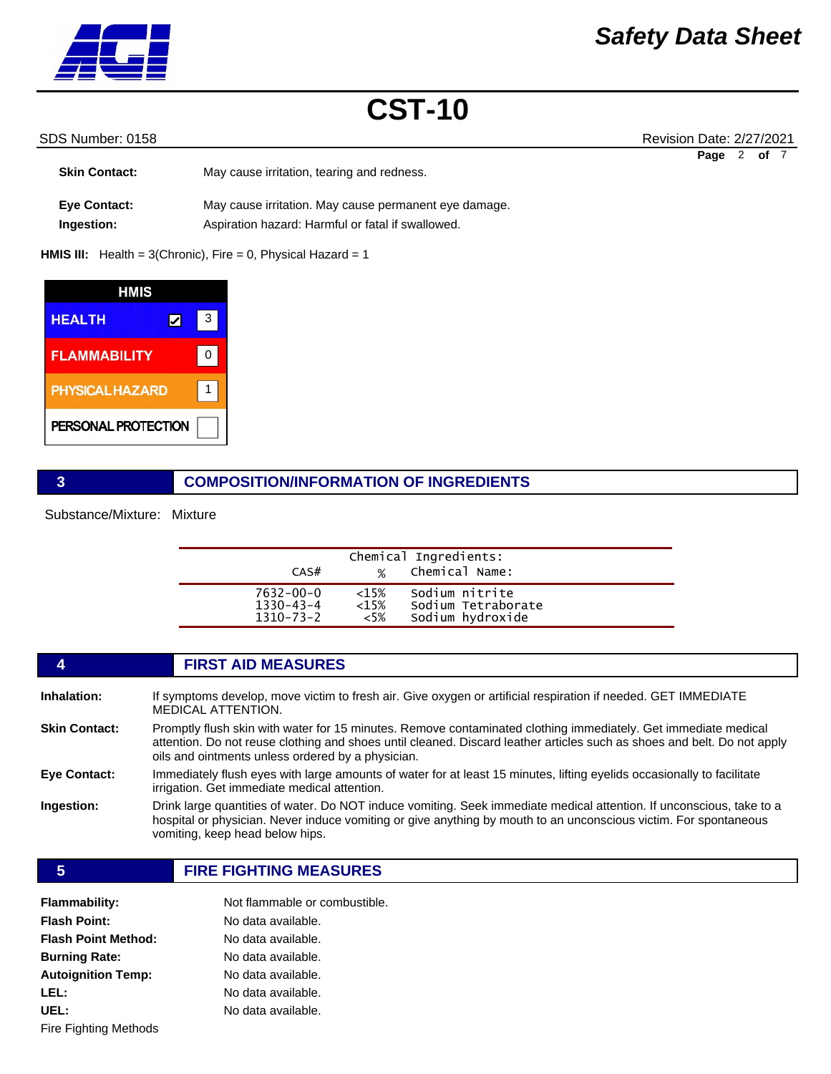

# SDS Number: 0158 **SDS Number: 0158** Revision Date: 2/27/2021

|                      |                                                       | Page | of 7 |  |
|----------------------|-------------------------------------------------------|------|------|--|
| <b>Skin Contact:</b> | May cause irritation, tearing and redness.            |      |      |  |
|                      |                                                       |      |      |  |
| <b>Eve Contact:</b>  | May cause irritation. May cause permanent eye damage. |      |      |  |
| Ingestion:           | Aspiration hazard: Harmful or fatal if swallowed.     |      |      |  |

**HMIS III:** Health = 3(Chronic), Fire = 0, Physical Hazard = 1

| HMIS                   |   |
|------------------------|---|
| <b>HEALTH</b>          | 3 |
| <b>FLAMMABILITY</b>    | ŋ |
| <b>PHYSICAL HAZARD</b> |   |
| PERSONAL PROTECTION    |   |

# **3 COMPOSITION/INFORMATION OF INGREDIENTS**

Substance/Mixture: Mixture

| CAS#            | $\%$    | Chemical Ingredients:<br>Chemical Name: |  |
|-----------------|---------|-----------------------------------------|--|
| $7632 - 00 - 0$ | $<15\%$ | Sodium nitrite                          |  |
| $1330 - 43 - 4$ | $<15\%$ | Sodium Tetraborate                      |  |
| $1310 - 73 - 2$ | $<5\%$  | Sodium hydroxide                        |  |

|                      | <b>FIRST AID MEASURES</b>                                                                                                                                                                                                                                                                      |
|----------------------|------------------------------------------------------------------------------------------------------------------------------------------------------------------------------------------------------------------------------------------------------------------------------------------------|
| Inhalation:          | If symptoms develop, move victim to fresh air. Give oxygen or artificial respiration if needed. GET IMMEDIATE<br><b>MEDICAL ATTENTION.</b>                                                                                                                                                     |
| <b>Skin Contact:</b> | Promptly flush skin with water for 15 minutes. Remove contaminated clothing immediately. Get immediate medical<br>attention. Do not reuse clothing and shoes until cleaned. Discard leather articles such as shoes and belt. Do not apply<br>oils and ointments unless ordered by a physician. |
| <b>Eye Contact:</b>  | Immediately flush eyes with large amounts of water for at least 15 minutes, lifting eyelids occasionally to facilitate<br>irrigation. Get immediate medical attention.                                                                                                                         |
| Ingestion:           | Drink large quantities of water. Do NOT induce vomiting. Seek immediate medical attention. If unconscious, take to a<br>hospital or physician. Never induce vomiting or give anything by mouth to an unconscious victim. For spontaneous<br>vomiting, keep head below hips.                    |
|                      |                                                                                                                                                                                                                                                                                                |

# **5 FIRE FIGHTING MEASURES**

| <b>Flammability:</b>       | Not flammable or combustible. |
|----------------------------|-------------------------------|
| <b>Flash Point:</b>        | No data available.            |
| <b>Flash Point Method:</b> | No data available.            |
| <b>Burning Rate:</b>       | No data available.            |
| <b>Autoignition Temp:</b>  | No data available.            |
| LEL:                       | No data available.            |
| UEL:                       | No data available.            |
| Fire Fighting Methods      |                               |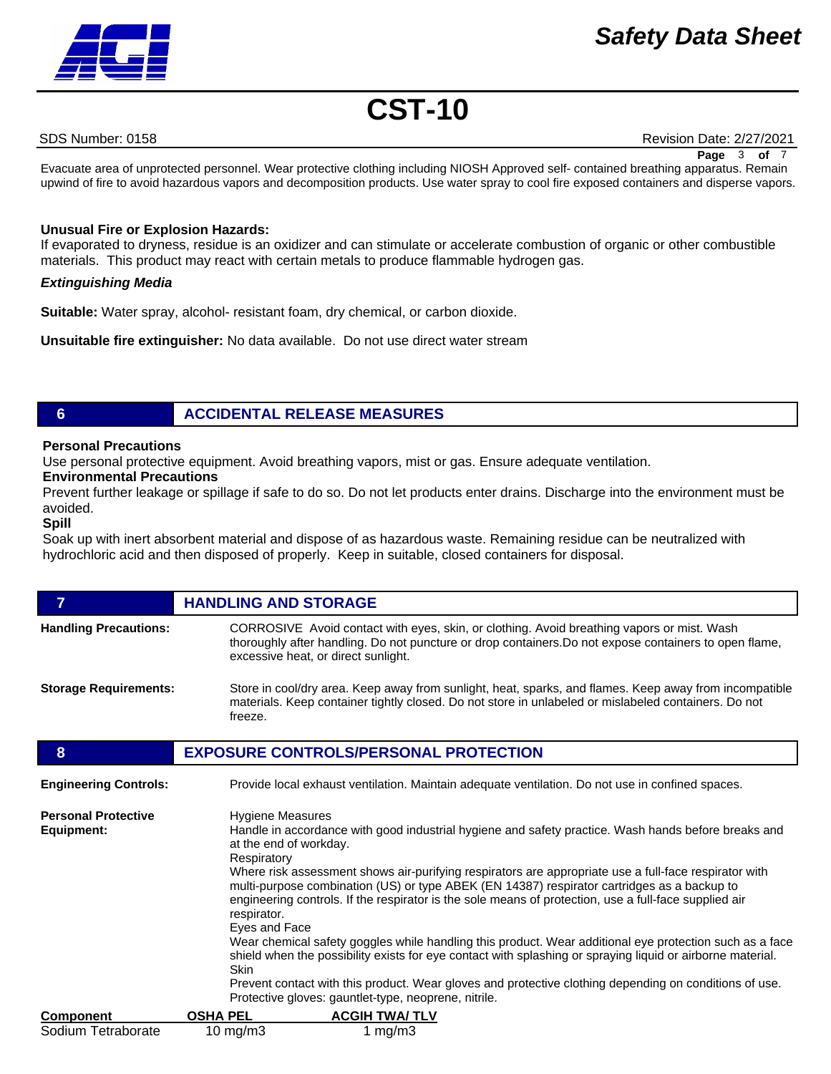# *Safety Data Sheet*



# **CST-10**

SDS Number: 0158 Revision Date: 2/27/2021

**Page** 3 **of** 7

Evacuate area of unprotected personnel. Wear protective clothing including NIOSH Approved self- contained breathing apparatus. Remain upwind of fire to avoid hazardous vapors and decomposition products. Use water spray to cool fire exposed containers and disperse vapors.

# **Unusual Fire or Explosion Hazards:**

If evaporated to dryness, residue is an oxidizer and can stimulate or accelerate combustion of organic or other combustible materials. This product may react with certain metals to produce flammable hydrogen gas.

# *Extinguishing Media*

**Suitable:** Water spray, alcohol- resistant foam, dry chemical, or carbon dioxide.

**Unsuitable fire extinguisher:** No data available. Do not use direct water stream

# **6 ACCIDENTAL RELEASE MEASURES**

# **Personal Precautions**

Use personal protective equipment. Avoid breathing vapors, mist or gas. Ensure adequate ventilation.

# **Environmental Precautions**

Prevent further leakage or spillage if safe to do so. Do not let products enter drains. Discharge into the environment must be avoided.

### **Spill**

Soak up with inert absorbent material and dispose of as hazardous waste. Remaining residue can be neutralized with hydrochloric acid and then disposed of properly. Keep in suitable, closed containers for disposal.

# **FIGURE 12 IN STORAGE Handling Precautions:** CORROSIVE Avoid contact with eyes, skin, or clothing. Avoid breathing vapors or mist. Wash thoroughly after handling. Do not puncture or drop containers.Do not expose containers to open flame, excessive heat, or direct sunlight. **Storage Requirements:** Store in cool/dry area. Keep away from sunlight, heat, sparks, and flames. Keep away from incompatible materials. Keep container tightly closed. Do not store in unlabeled or mislabeled containers. Do not freeze. **8 EXPOSURE CONTROLS/PERSONAL PROTECTION Engineering Controls:** Provide local exhaust ventilation. Maintain adequate ventilation. Do not use in confined spaces. **Personal Protective Equipment:** Hygiene Measures Handle in accordance with good industrial hygiene and safety practice. Wash hands before breaks and at the end of workday. Respiratory Where risk assessment shows air-purifying respirators are appropriate use a full-face respirator with multi-purpose combination (US) or type ABEK (EN 14387) respirator cartridges as a backup to engineering controls. If the respirator is the sole means of protection, use a full-face supplied air respirator. Eyes and Face Wear chemical safety goggles while handling this product. Wear additional eye protection such as a face shield when the possibility exists for eye contact with splashing or spraying liquid or airborne material. Skin

Prevent contact with this product. Wear gloves and protective clothing depending on conditions of use. Protective gloves: gauntlet-type, neoprene, nitrile.

| <b>Component</b>   | <b>OSHA PEL</b> | <b>ACGIH TWA/TLV</b> |
|--------------------|-----------------|----------------------|
| Sodium Tetraborate | 10 mg/m $3$     | 1 mg/m $3$           |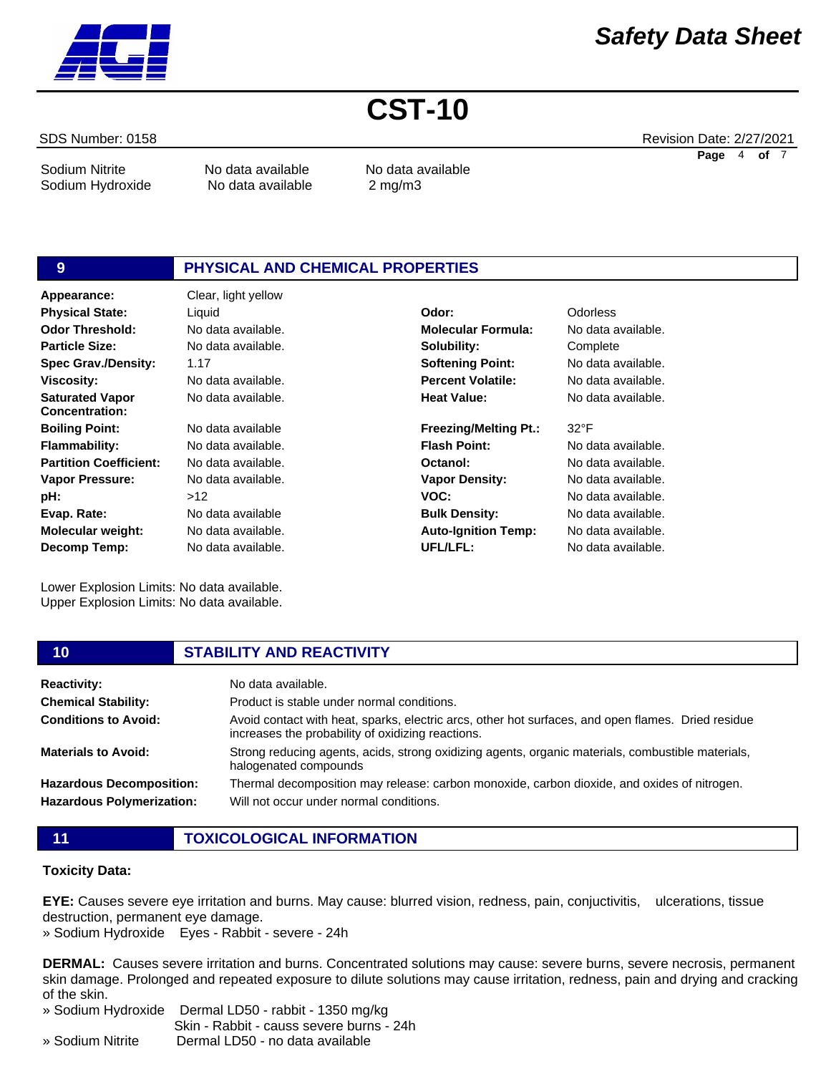

Sodium Nitrite **No data available** No data available

Sodium Hydroxide No data available 2 mg/m3

# **9 PHYSICAL AND CHEMICAL PROPERTIES**

**Appearance:** Clear, light yellow No data available. 1.17 No data available. No data available. No data available No data available. No data available. No data available.  $>12$ No data available No data available. No data available. **Odor Threshold: Particle Size: Spec Grav./Density: Viscosity: Saturated Vapor Concentration: Boiling Point: Flammability: Partition Coefficient: Vapor Pressure: pH: Evap. Rate: Molecular weight: Decomp Temp: Physical State:** Liquid **Odor:** Odorless

Lower Explosion Limits: No data available. Upper Explosion Limits: No data available.

No data available. **Molecular Formula:** No data available. **Solubility: Softening Point: Percent Volatile: Heat Value: Freezing/Melting Pt.: Flash Point: Octanol: Vapor Density: VOC: Bulk Density: Auto-Ignition Temp:**

**Complete** No data available. No data available. No data available. 32°F

No data available. No data available. No data available. No data available. No data available. No data available. No data available.

| 10                               | <b>STABILITY AND REACTIVITY</b>                                                                                                                         |
|----------------------------------|---------------------------------------------------------------------------------------------------------------------------------------------------------|
| <b>Reactivity:</b>               | No data available.                                                                                                                                      |
| <b>Chemical Stability:</b>       | Product is stable under normal conditions.                                                                                                              |
| <b>Conditions to Avoid:</b>      | Avoid contact with heat, sparks, electric arcs, other hot surfaces, and open flames. Dried residue<br>increases the probability of oxidizing reactions. |
| <b>Materials to Avoid:</b>       | Strong reducing agents, acids, strong oxidizing agents, organic materials, combustible materials,<br>halogenated compounds                              |
| <b>Hazardous Decomposition:</b>  | Thermal decomposition may release: carbon monoxide, carbon dioxide, and oxides of nitrogen.                                                             |
| <b>Hazardous Polymerization:</b> | Will not occur under normal conditions.                                                                                                                 |
|                                  |                                                                                                                                                         |

**UFL/LFL:**

- 
- **11 TOXICOLOGICAL INFORMATION**

# **Toxicity Data:**

**EYE:** Causes severe eye irritation and burns. May cause: blurred vision, redness, pain, conjuctivitis, ulcerations, tissue destruction, permanent eye damage.

» Sodium Hydroxide Eyes - Rabbit - severe - 24h

**DERMAL:** Causes severe irritation and burns. Concentrated solutions may cause: severe burns, severe necrosis, permanent skin damage. Prolonged and repeated exposure to dilute solutions may cause irritation, redness, pain and drying and cracking of the skin.

» Sodium Hydroxide Dermal LD50 - rabbit - 1350 mg/kg

Skin - Rabbit - causs severe burns - 24h

» Sodium Nitrite Dermal LD50 - no data available

SDS Number: 0158 Revision Date: 2/27/2021 **Page** 4 **of** 7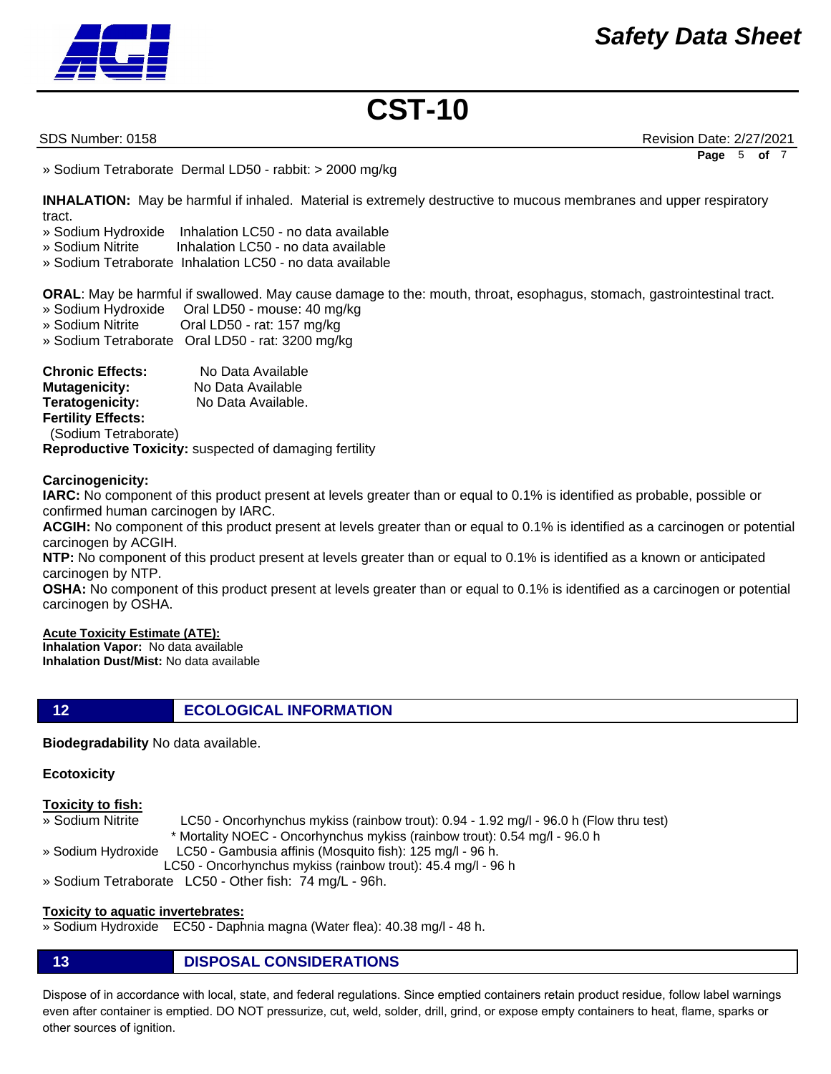

SDS Number: 0158 Revision Date: 2/27/2021 **Page** 5 **of** 7

» Sodium Tetraborate Dermal LD50 - rabbit: > 2000 mg/kg

**INHALATION:** May be harmful if inhaled. Material is extremely destructive to mucous membranes and upper respiratory tract.

- » Sodium Hydroxide Inhalation LC50 no data available
- » Sodium Nitrite Inhalation LC50 no data available
- » Sodium Tetraborate Inhalation LC50 no data available

**ORAL**: May be harmful if swallowed. May cause damage to the: mouth, throat, esophagus, stomach, gastrointestinal tract.

- » Sodium Hydroxide Oral LD50 mouse: 40 mg/kg
- » Sodium Nitrite Oral LD50 rat: 157 mg/kg
- » Sodium Tetraborate Oral LD50 rat: 3200 mg/kg

**Chronic Effects:** No Data Available **Mutagenicity:** No Data Available **Teratogenicity:** No Data Available. **Fertility Effects:**  (Sodium Tetraborate) **Reproductive Toxicity:** suspected of damaging fertility

**Carcinogenicity:**

**IARC:** No component of this product present at levels greater than or equal to 0.1% is identified as probable, possible or confirmed human carcinogen by IARC.

**ACGIH:** No component of this product present at levels greater than or equal to 0.1% is identified as a carcinogen or potential carcinogen by ACGIH.

**NTP:** No component of this product present at levels greater than or equal to 0.1% is identified as a known or anticipated carcinogen by NTP.

**OSHA:** No component of this product present at levels greater than or equal to 0.1% is identified as a carcinogen or potential carcinogen by OSHA.

# **Acute Toxicity Estimate (ATE):**

**Inhalation Vapor:** No data available **Inhalation Dust/Mist:** No data available

**12 ECOLOGICAL INFORMATION** 

**Biodegradability** No data available.

# **Ecotoxicity**

### **Toxicity to fish:**

- » Sodium Nitrite LC50 Oncorhynchus mykiss (rainbow trout): 0.94 1.92 mg/l 96.0 h (Flow thru test)
	- \* Mortality NOEC Oncorhynchus mykiss (rainbow trout): 0.54 mg/l 96.0 h

» Sodium Hydroxide LC50 - Gambusia affinis (Mosquito fish): 125 mg/l - 96 h.

LC50 - Oncorhynchus mykiss (rainbow trout): 45.4 mg/l - 96 h

» Sodium Tetraborate LC50 - Other fish: 74 mg/L - 96h.

# **Toxicity to aquatic invertebrates:**

» Sodium Hydroxide EC50 - Daphnia magna (Water flea): 40.38 mg/l - 48 h.

**13 DISPOSAL CONSIDERATIONS**

Dispose of in accordance with local, state, and federal regulations. Since emptied containers retain product residue, follow label warnings even after container is emptied. DO NOT pressurize, cut, weld, solder, drill, grind, or expose empty containers to heat, flame, sparks or other sources of ignition.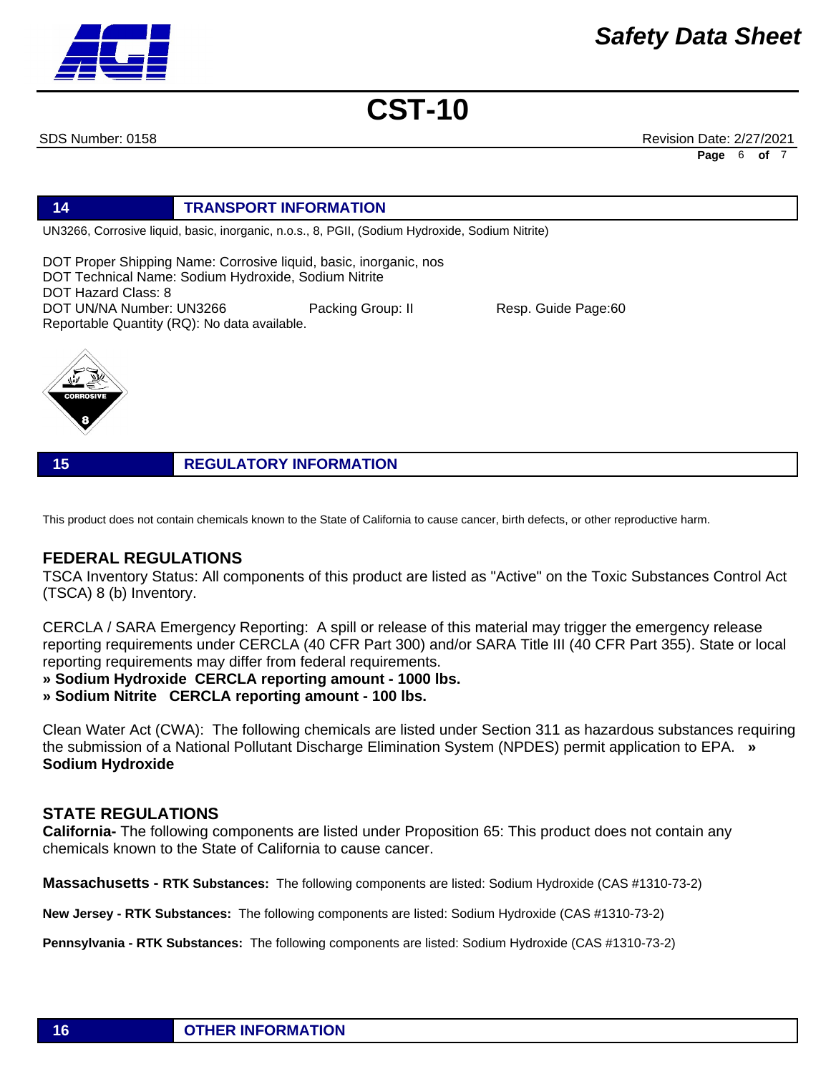

SDS Number: 0158 Revision Date: 2/27/2021 **Page** 6 **of** 7

# **14 TRANSPORT INFORMATION**

UN3266, Corrosive liquid, basic, inorganic, n.o.s., 8, PGII, (Sodium Hydroxide, Sodium Nitrite)

DOT Proper Shipping Name: Corrosive liquid, basic, inorganic, nos DOT Technical Name: Sodium Hydroxide, Sodium Nitrite DOT Hazard Class: 8 DOT UN/NA Number: UN3266 Packing Group: II Resp. Guide Page:60 Reportable Quantity (RQ): No data available.



**15 REGULATORY INFORMATION**

This product does not contain chemicals known to the State of California to cause cancer, birth defects, or other reproductive harm.

# **FEDERAL REGULATIONS**

TSCA Inventory Status: All components of this product are listed as "Active" on the Toxic Substances Control Act (TSCA) 8 (b) Inventory.

CERCLA / SARA Emergency Reporting: A spill or release of this material may trigger the emergency release reporting requirements under CERCLA (40 CFR Part 300) and/or SARA Title III (40 CFR Part 355). State or local reporting requirements may differ from federal requirements.

**» Sodium Hydroxide CERCLA reporting amount - 1000 lbs.** 

**» Sodium Nitrite CERCLA reporting amount - 100 lbs.**

Clean Water Act (CWA): The following chemicals are listed under Section 311 as hazardous substances requiring the submission of a National Pollutant Discharge Elimination System (NPDES) permit application to EPA. **» Sodium Hydroxide**

# **STATE REGULATIONS**

**California-** The following components are listed under Proposition 65: This product does not contain any chemicals known to the State of California to cause cancer.

**Massachusetts - RTK Substances:** The following components are listed: Sodium Hydroxide (CAS #1310-73-2)

**New Jersey - RTK Substances:** The following components are listed: Sodium Hydroxide (CAS #1310-73-2)

**Pennsylvania - RTK Substances:** The following components are listed: Sodium Hydroxide (CAS #1310-73-2)